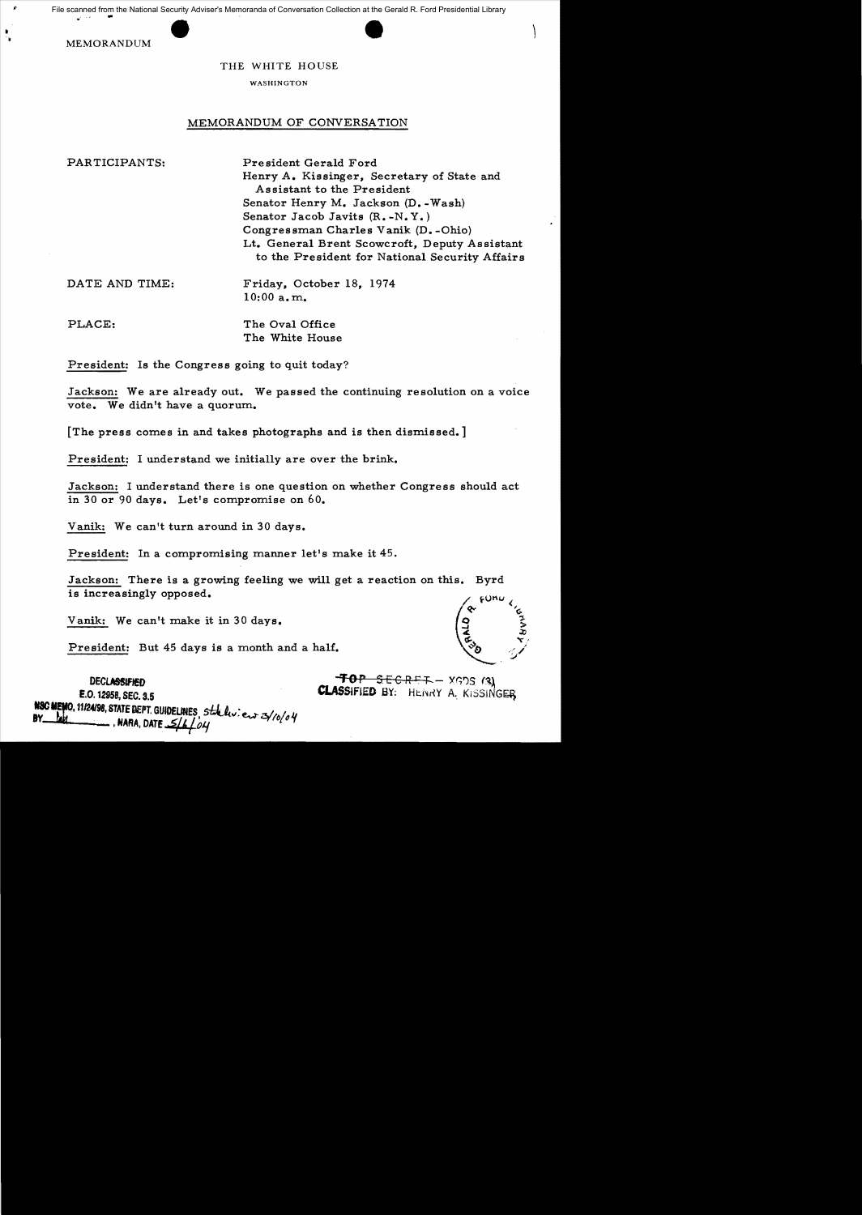File scanned from the National Security Adviser's Memoranda of Conversation Collection at the Gerald R. Ford Presidential Library

MEMORANDUM

## THE WHITE HOUSE

## WASHINGTON

## MEMORANDUM OF CONVERSATION

PARTICIPANTS: President Gerald Ford Henry A. Kissinger, Secretary of State and Assistant to the President Senator Henry M. Jackson (D. - Wash) Senator Jacob Javits (R. -N. Y.) Congressman Charles Vanik (D. -Ohio) Lt. General Brent Scowcroft, Deputy Assistant to the President for National Security Affairs

DATE AND TIME: Friday, October 18, 1974  $10:00$  a.m.

PLACE: The Oval Office

The White House

President: Is the Congress going to quit today?

Jackson: We are already out. We passed the continuing resolution on a voice vote. We didn't have a quorum.

The press comes in and takes photographs and is then dismissed.

President: I understand we initially are over the brink.

Jackson: I understand there is one question on whether Congress should act in 30 or 90 days. Let's compromise on  $60$ .

Vanik: We can't turn around in 30 days.

President: In a compromising manner let's make it  $45$ .

Jackson: There is a growing feeling we will get a reaction on this. Byrd is increasingly opposed.

Vanik: We can't make it in 30 days.

President: But 45 days is a month and a half.

DECLASSIFIED<br>
DECLASSIFIED BY: HENRY A KISSINGER<br>
CLASSIFIED BY: HENRY A KISSINGER

E.O. 1!958, SEC. 3.5 CLAs~F1.ED a:I: HJ::.i\ny A KiSSJNG~ ::e"f-1112ft8, STATE DEPT. GUIDELINES I 5-1..4:.1('11: f!.,..,)-<¥If>/O *"I*   $\frac{1}{4}$ 

 $\vert$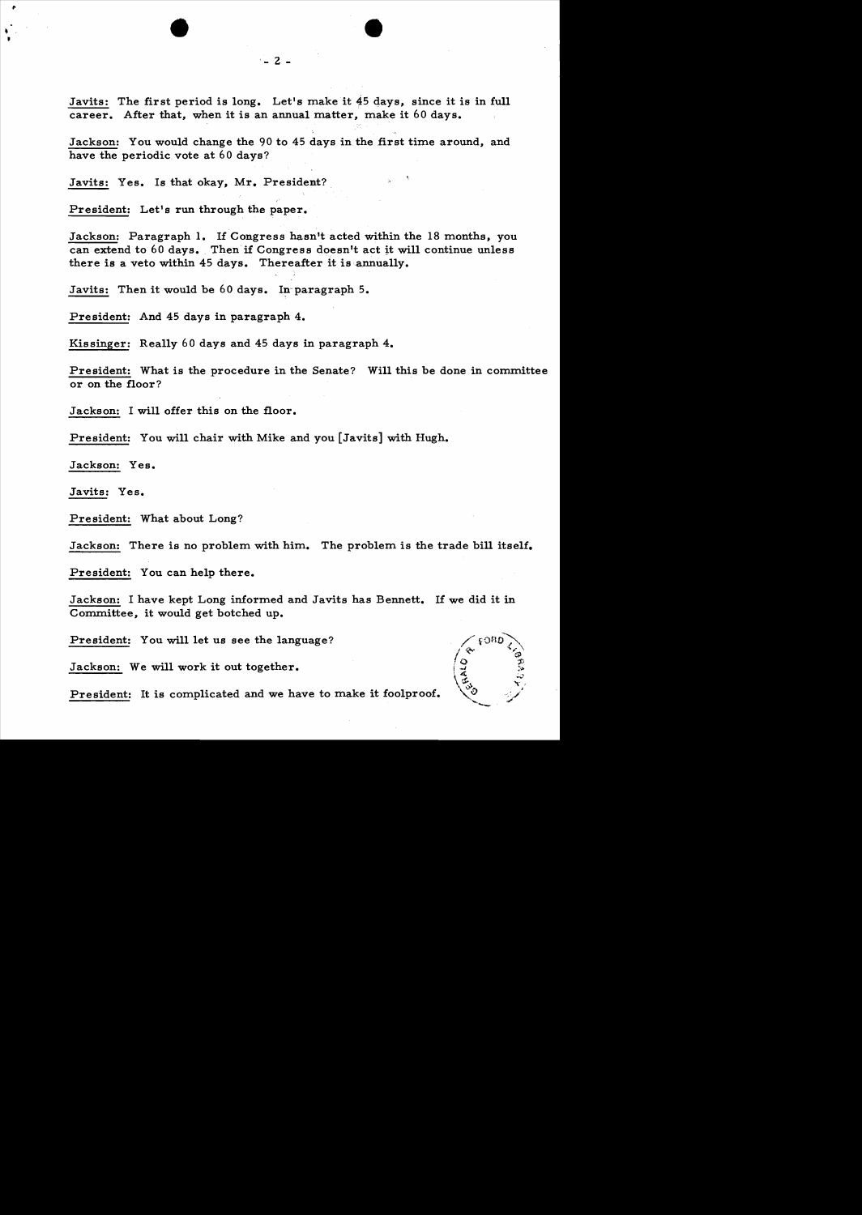Javits: The first period is long. Let's make it 45 days, since it is in full career. After that, when it is an annual matter, make it 60 days.

Jackson: You would change the 90 to 45 days in the first time around, and have the periodic vote at 60 days?

Javits: Yes. Is that okay, Mr. President?

President: Let's run through the paper.

Jackson: Paragraph 1. If Congress hasn't acted within the 18 months, you can extend to 60 days. Then if Congress doesn't act it will continue unless there is a veto within 45 days. Thereafter it is annually.

Javits: Then it would be  $60$  days. In paragraph 5.

President: And 45 days in paragraph 4.

Kissinger: Rea11y 60 days and 45 days in paragraph 4.

President: What is the procedure in the Senate? Will this be done in committee or on the floor?

Jackson: I will offer this on the floor.

President: You wi11 chair with Mike and you [Javits] with Hugh.

Jackson: Yes.

Javits: Yes.

President: What about Long?

Jackson: There is no problem with him. The problem is the trade bill itself.

President: You can help there.

Jackson: I have kept Long informed and Javits has Bennett. If we did it in Committee, it would get botched up.

President: You will let us see the language?

Jackson: We wi11 work it out together.

President: It is complicated and we have to make it foolproof.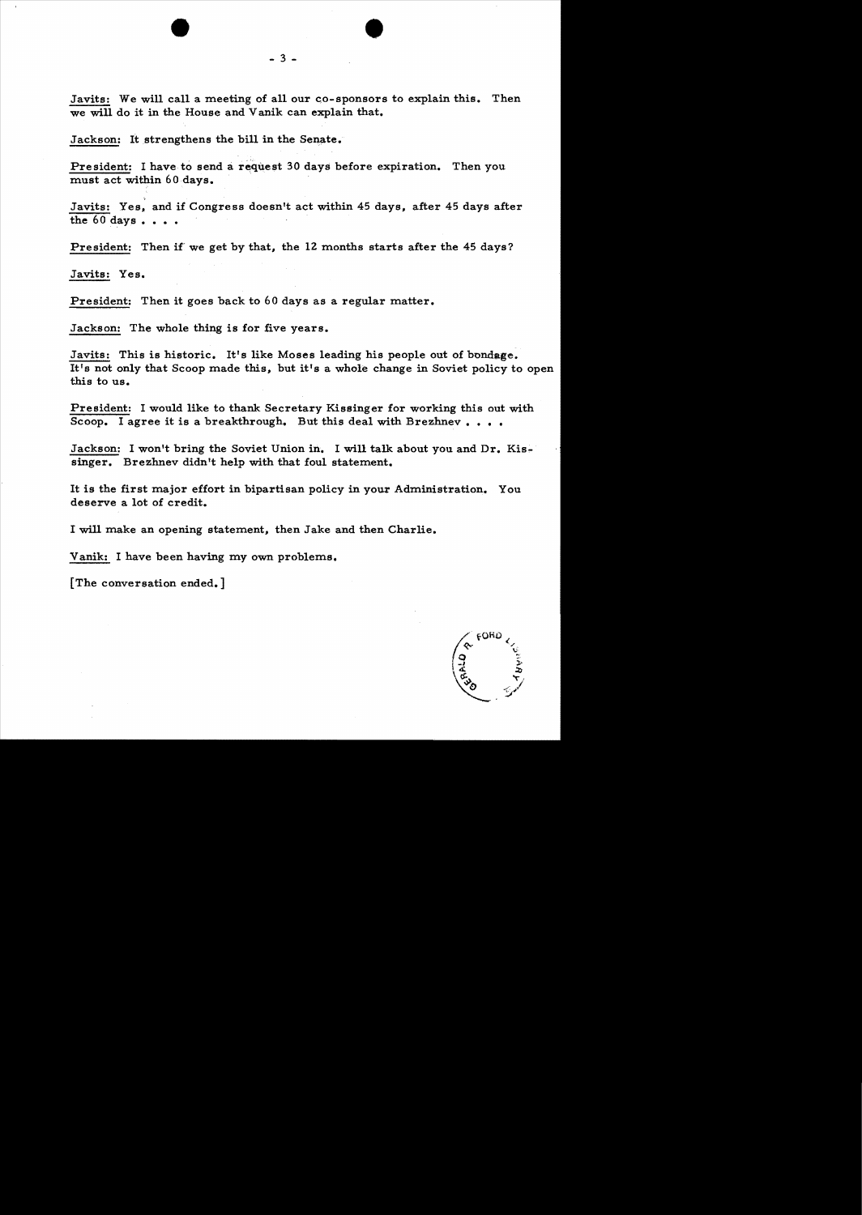Javits: We will call a meeting of all our co-sponsors to explain this. Then we will do it in the House and Vanik can explain that.

•

Jackson: It strengthens the bill in the Senate.

President: I have to send a request 30 days before expiration. Then you must act within 60 days. .

Javits: Yes, and if Congress doesn't act within 45 days, after 45 days after the  $60$  days  $\ldots$ .

President: Then if' we get by that, the 12 months starts after the 45 days?

Javits: Yes.

President: Then it goes back to 60 days as a regular matter.

Jackson: The whole thing is for five years.

Javits: This is historic. It's like Moses leading his people out of bondage. It's not only that Scoop made this, but it's a whole change in Soviet policy to open this to us.

President: I would like to thank Secretary Kissinger for working this out with Scoop. I agree it is a breakthrough. But this deal with Brezhnev....

Jackson: I won't bring the Soviet Union in. I will talk about you and Dr. Kissinger. Brezhnev didn't help with that foul statement.

It is the first major effort in bipartisan policy in your Administration. You deserve a lot of credit.

I will make an opening statement, then Jake and then Charlie.

Yanik: I have been having my own problems.

[The conversation ended.]

FORD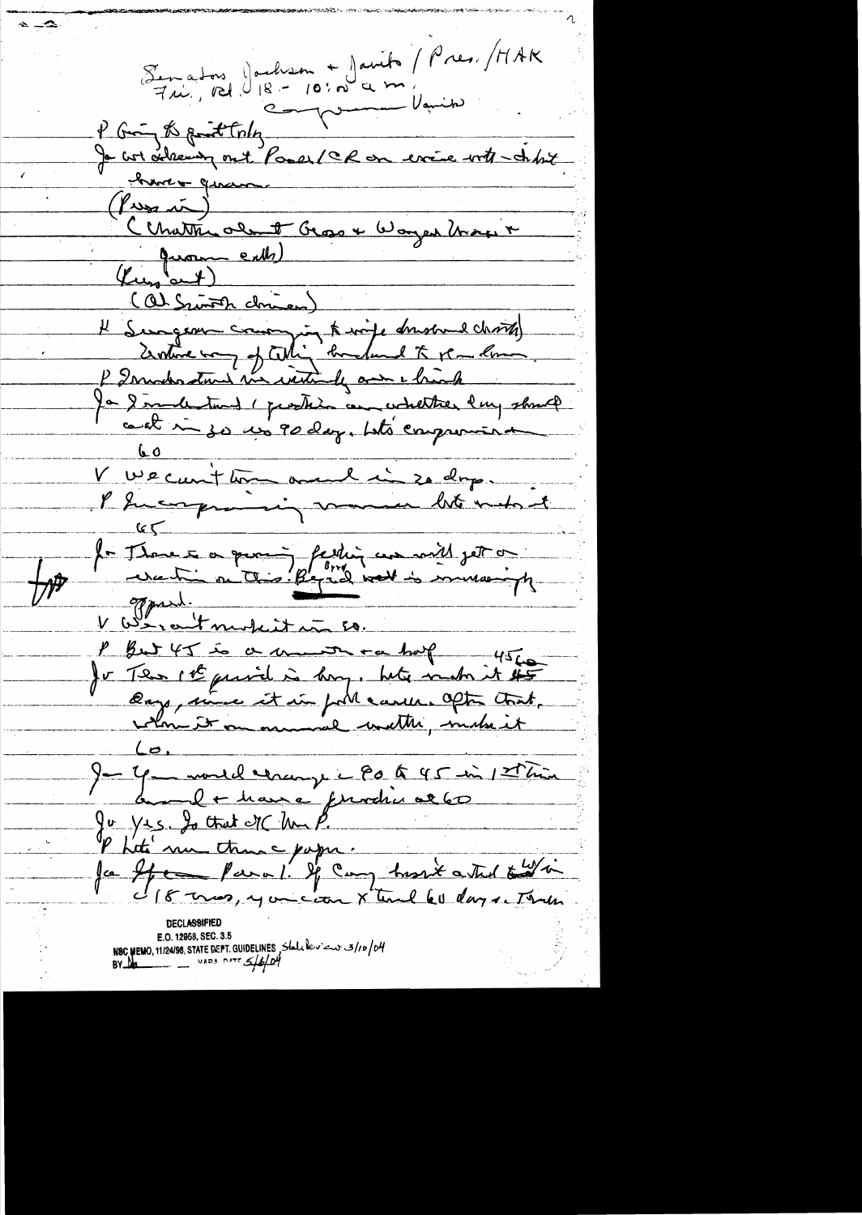$\sim -\infty$ Semators Joulism + Javits / Pres. /MAK<br>Fri, 121. 18 - 10: nº a m. P Group the point today<br>Je cot acheever ont Pomer / CR en errie with - didn't (Proposed)<br>Chatter old Bross & Woyer March &<br>(Channel Commen)<br>H Sungeon coming in the wife dressed charged<br>2) Sunder was interested by the Comment<br>Po Simulations (pertition and whether lengthere)<br>(and in so we go day, but Lo<br>V Wecunthon avec cin 20 drp. Phicagonamin vacant lite make et  $\frac{1}{\sqrt{1-\frac{1}{2}}\left(1-\frac{1}{2}\right)}=\frac{1}{2\sqrt{1-\frac{1}{2}}\left(1-\frac{1}{2}\right)}=\frac{1}{2\sqrt{1-\frac{1}{2}}\left(1-\frac{1}{2}\right)}=\frac{1}{2\sqrt{1-\frac{1}{2}}\left(1-\frac{1}{2}\right)}=\frac{1}{2\sqrt{1-\frac{1}{2}}\left(1-\frac{1}{2}\right)}=\frac{1}{2\sqrt{1-\frac{1}{2}}\left(1-\frac{1}{2}\right)}=\frac{1}{2\sqrt{1-\frac{1}{2}}\left(1-\frac{1}{2}\right)}=\frac{1}{2\sqrt{1-\$ for Those a quoid fathing we will get or P But 45 is a month of hold make it to 4 monde change - 80 to 45 in 12 hin Je yet monde de prodin al 60<br>Ju yet de tout de Ma P.<br>Parti une tranc papa.<br>Ja ffe favor, you can x une 60 days. Tour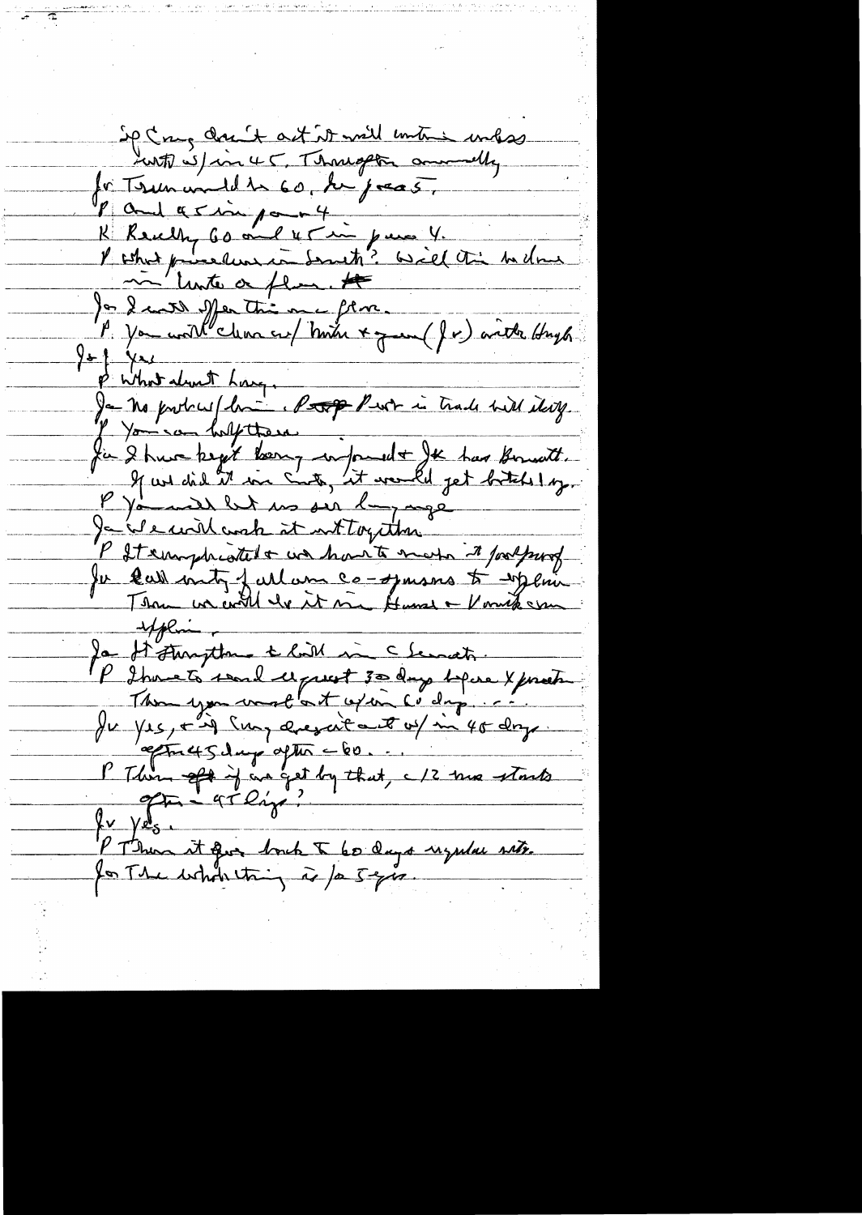Sp Coug don't ast it will untime unhas Lent Spin 45, Thought amountly for Term und de 60, de jocas. P and a simport K Really 60 aug 45 in parce 4.<br>I what purelement desute? Will this bedom Jan 2 avril Mer très me flux.<br>Jan 2 avril Mer très me flux.<br>A You world clean au / honter + y au (Jr) anthe Hugh!  $y$   $\rightarrow$   $\rightarrow$ p what don't have Ja no protocur de la Comp Puet in trade with items. I You say holy there. fin 2 true kept kærg informelt Je har Bountt.<br>If we did it me Sot, it would get britis log. P It emphisted + we have to make it footpung Ju call mity full um co-opmans to injoin explain Ja d'Aungthre & lait me chemats. P I pouce to search deprest 30 days before X posets Thom you want at apan cody ... Ju yes, = ig sur avezait aut of in 40 dry.<br>P Thom of it an get by that, c 12 mm starts  $\frac{\gamma v}{2}$   $\frac{\gamma v}{2}$ P Thun it que bout I 60 days uzular site.<br>La The whole thing is fa 5 grs.